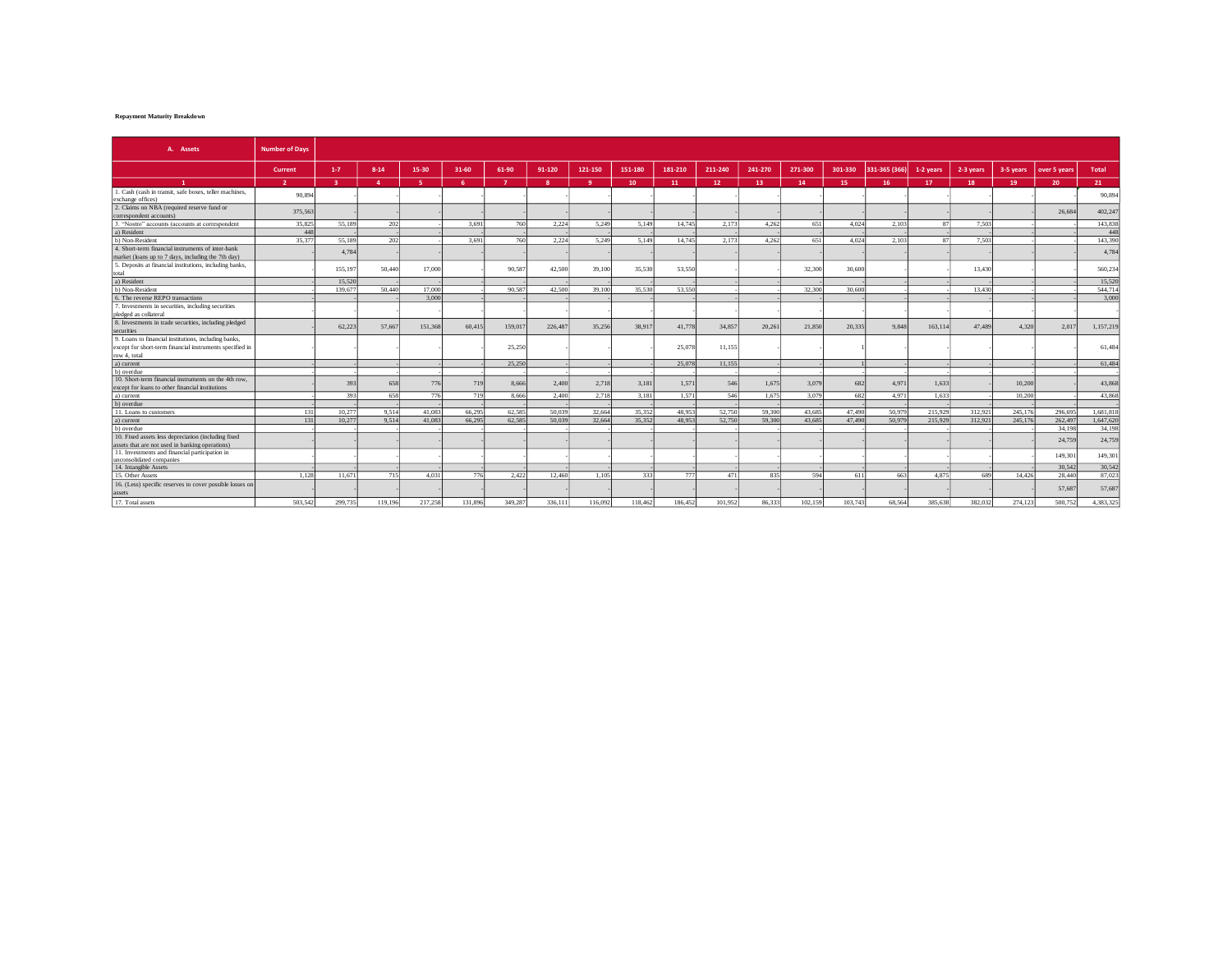## **Repayment Maturity Breakdown**

| A. Assets                                                                                                | <b>Number of Davs</b> |                         |                |         |          |              |         |           |         |         |         |         |         |         |               |                 |           |           |                 |              |
|----------------------------------------------------------------------------------------------------------|-----------------------|-------------------------|----------------|---------|----------|--------------|---------|-----------|---------|---------|---------|---------|---------|---------|---------------|-----------------|-----------|-----------|-----------------|--------------|
|                                                                                                          | Current               | $1 - 7$                 | $8 - 14$       | 15-30   | 31-60    | 61-90        | 91-120  | 121-150   | 151-180 | 181-210 | 211-240 | 241-270 | 271-300 | 301-330 | 331-365 (366) | 1-2 years       | 2-3 years | 3-5 years | over 5 years    | <b>Total</b> |
| $\mathbf{1}$                                                                                             | $\overline{2}$        | $\overline{\mathbf{a}}$ | $\overline{a}$ | -5      | <b>G</b> | $\mathbf{z}$ | -8      | $\bullet$ | 10      | 11      | 12      | 13      | 14      | 15      | 16            | 17              | 18        | 19        | 20 <sup>°</sup> | 21           |
| 1. Cash (cash in transit, safe boxes, teller machines,<br>exchange offices)                              | 90.894                |                         |                |         |          |              |         |           |         |         |         |         |         |         |               |                 |           |           |                 | 90,89        |
| 2. Claims on NBA (required reserve fund or<br>correspondent accounts)                                    | 375,563               |                         |                |         |          |              |         |           |         |         |         |         |         |         |               |                 |           |           | 26.68           | 402,247      |
| 3. "Nostro" accounts (accounts at correspondent                                                          | 35.825                | 55.189                  | 202            |         | 3.691    | 760          | 2,224   | 5.249     | 5.149   | 14,745  | 2,173   | 4.262   | 651     | 4.024   | 2.103         | -87             | 7.50      |           |                 | 143,838      |
| a) Resident                                                                                              | 448                   |                         |                |         |          |              |         |           |         |         |         |         |         |         |               |                 |           |           |                 | $-445$       |
| b) Non-Resident                                                                                          | 35 377                | 55.189                  | 202            |         | 3.691    | 760          | 2.224   | 5.249     | 5.149   | 14,745  | 2.173   | 4.262   | 651     | 4.024   | 2.103         | $\mathcal{R}^*$ | 7.50      |           |                 | 143.390      |
| 4. Short-term financial instruments of inter-bank<br>market (loans up to 7 days, including the 7th day)  |                       | 4.784                   |                |         |          |              |         |           |         |         |         |         |         |         |               |                 |           |           |                 | 4,784        |
| 5. Deposits at financial institutions, including banks,<br>total                                         |                       | 155,197                 | 50,440         | 17,000  |          | 90.587       | 42.500  | 39,100    | 35,530  | 53.550  |         |         | 32,300  | 30,600  |               |                 | 13,430    |           |                 | 560,234      |
| a) Resident                                                                                              |                       | 15.520                  |                |         |          |              |         |           |         |         |         |         |         |         |               |                 |           |           |                 | 15.520       |
| b) Non-Resident                                                                                          |                       | 139.67                  | 50,440         | 17,000  |          | 90.58        | 42.500  | 39,100    | 35,530  | 53,550  |         |         | 32,300  | 30,600  |               |                 | 13.430    |           |                 | 544,71       |
| 6. The reverse REPO transactions                                                                         |                       |                         |                | 3,000   |          |              |         |           |         |         |         |         |         |         |               |                 |           |           |                 | 3.000        |
| 7. Investments in securities, including securities                                                       |                       |                         |                |         |          |              |         |           |         |         |         |         |         |         |               |                 |           |           |                 |              |
| pledged as collateral                                                                                    |                       |                         |                |         |          |              |         |           |         |         |         |         |         |         |               |                 |           |           |                 |              |
| 8. Investments in trade securities, including pledged                                                    |                       | 62.223                  |                |         |          |              | 226,487 | 35,256    | 38.91   | 41,778  |         |         |         | 20.335  | 9.848         |                 | 47.489    | 4.320     | 2.01            | 1,157,219    |
| securities                                                                                               |                       |                         | 57,66          | 151,368 | 60,415   | 159,01       |         |           |         |         | 34,857  | 20,261  | 21,850  |         |               | 163,114         |           |           |                 |              |
| 9. Loans to financial institutions, including banks,                                                     |                       |                         |                |         |          |              |         |           |         |         |         |         |         |         |               |                 |           |           |                 |              |
| except for short-term financial instruments specified in                                                 |                       |                         |                |         |          | 25,250       |         |           |         | 25,078  | 11,155  |         |         |         |               |                 |           |           |                 | 61,484       |
| row 4, total                                                                                             |                       |                         |                |         |          |              |         |           |         |         |         |         |         |         |               |                 |           |           |                 |              |
| a) current                                                                                               |                       |                         |                |         |          | 25,250       |         |           |         | 25,078  | 11.155  |         |         |         |               |                 |           |           |                 | 61.484       |
| b) overdue                                                                                               |                       |                         |                |         |          |              |         |           |         |         |         |         |         |         |               |                 |           |           |                 |              |
| 10. Short-term financial instruments on the 4th row.<br>except for loans to other financial institutions |                       | 393                     | 658            | 776     | 719      | 8,666        | 2.400   | 2,718     | 3,181   | 1,571   | 546     | 1,675   | 3,079   | 682     | 4,971         | 1.633           |           | 10,200    |                 | 43,86        |
| a) current                                                                                               |                       | 393                     | 658            | 776     | 719      | 8.666        | 2.400   | 2.718     | 3.181   | 1.571   | 546     | 1.675   | 3.079   | 682     | 4.971         | 1.633           |           | 10.200    |                 | 43,868       |
| b) overdue                                                                                               |                       |                         |                |         |          |              |         |           |         |         |         |         |         |         |               |                 |           |           |                 |              |
| 11. Loans to customers                                                                                   | 131                   | 10.277                  | 9.514          | 41.083  | 66.295   | 62.585       | 50.039  | 32.664    | 35.352  | 48.953  | 52,750  | 59,300  | 43.685  | 47.490  | 50,979        | 215.929         | 312.92    | 245.17    | 296.695         | 1.681.81     |
| a) current                                                                                               | 131                   | 10.277                  | 9,514          | 41.083  | 66,295   | 62.585       | 50,039  | 32.664    | 35,352  | 48.953  | 52,750  | 59,300  | 43,685  | 47,490  | 50,979        | 215.929         | 312,92    | 245,176   | 262,497         | 1,647,620    |
| b) overdue                                                                                               |                       |                         |                |         |          |              |         |           |         |         |         |         |         |         |               |                 |           |           | 34,198          | 34.198       |
| 10. Fixed assets less depreciation (including fixed                                                      |                       |                         |                |         |          |              |         |           |         |         |         |         |         |         |               |                 |           |           | 24,759          |              |
| assets that are not used in banking operations)                                                          |                       |                         |                |         |          |              |         |           |         |         |         |         |         |         |               |                 |           |           |                 | 24,759       |
| 11. Investments and financial participation in<br>unconsolidated companies                               |                       |                         |                |         |          |              |         |           |         |         |         |         |         |         |               |                 |           |           | 149,301         | 149,30       |
| 14. Intangible Assets                                                                                    |                       |                         |                |         |          |              |         |           |         |         |         |         |         |         |               |                 |           |           | 30.542          | 30,542       |
| 15. Other Assets                                                                                         | 1.128                 | 11.671                  | 715            | 4.031   | 776      | 2.422        | 12.460  | 1.105     | 333     | 777     | 471     | 835     | 594     | 611     | 663           | 4.875           | 689       | 14.426    | 28,440          | 87,023       |
| 16. (Less) specific reserves to cover possible losses on                                                 |                       |                         |                |         |          |              |         |           |         |         |         |         |         |         |               |                 |           |           | 57,687          | 57,687       |
| assets                                                                                                   |                       |                         |                |         |          |              |         |           |         |         |         |         |         |         |               |                 |           |           |                 |              |
| 17. Total assets                                                                                         | 503.542               | 299,735                 | 119,196        | 217,258 | 131,896  | 349,287      | 336.111 | 116,092   | 118,462 | 186,452 | 101,952 | 86,333  | 102,159 | 103,743 | 68,564        | 385,638         | 382.032   | 274,123   | 500.752         | 4.383.325    |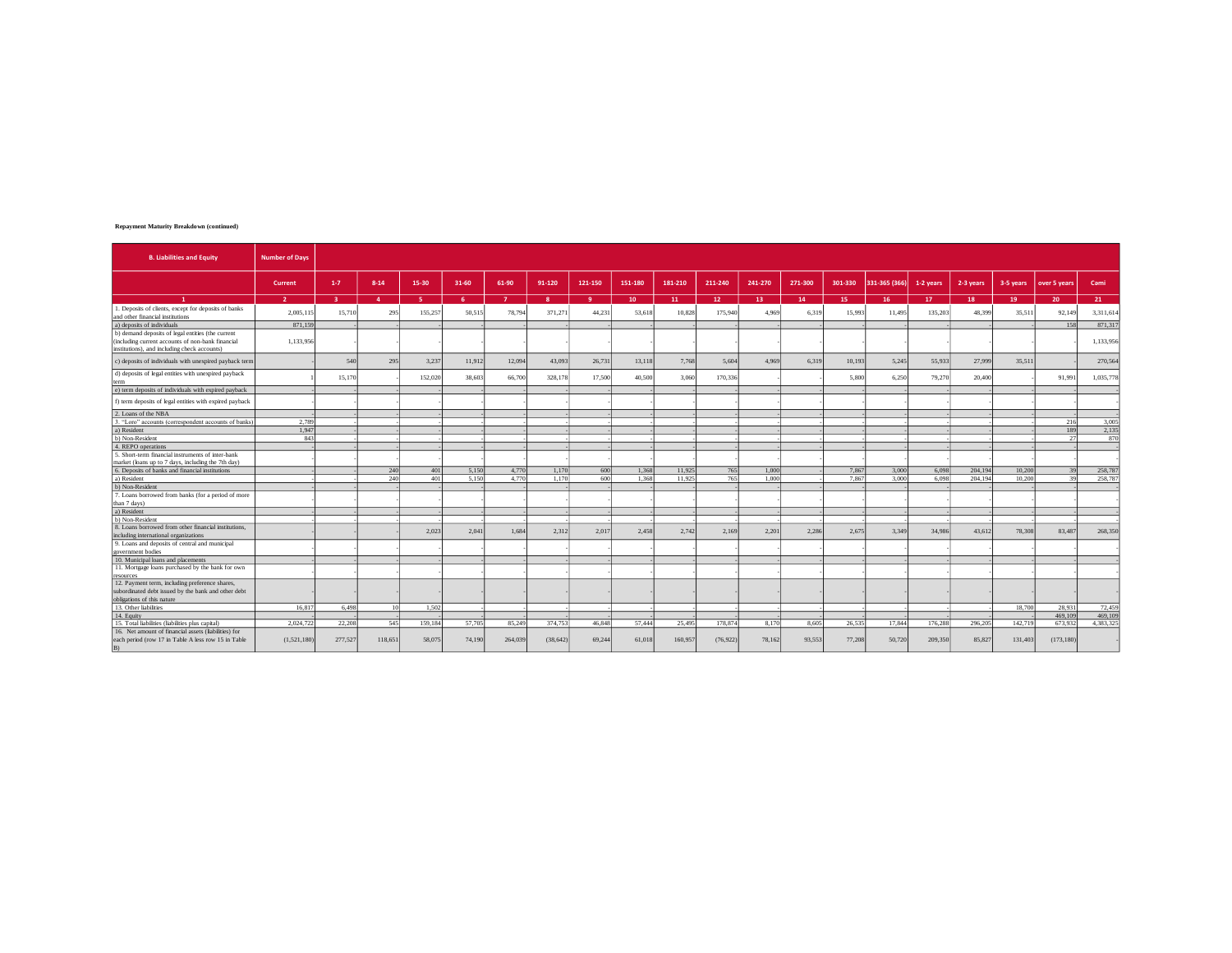## **Repayment Maturity Breakdown (continued)**

| <b>B. Liabilities and Equity</b>                                                                                                                       | <b>Number of Davs</b>    |                |              |         |        |              |              |                |         |                 |                 |         |                 |         |               |           |           |           |              |           |
|--------------------------------------------------------------------------------------------------------------------------------------------------------|--------------------------|----------------|--------------|---------|--------|--------------|--------------|----------------|---------|-----------------|-----------------|---------|-----------------|---------|---------------|-----------|-----------|-----------|--------------|-----------|
|                                                                                                                                                        | Current                  | $1 - 7$        | $8 - 14$     | 15-30   | 31-60  | 61-90        | 91-120       | 121-150        | 151-180 | 181-210         | 211-240         | 241-270 | 271-300         | 301-330 | 331-365 (366) | 1-2 years | 2-3 years | 3-5 years | over 5 years | Cami      |
| $\mathbf{1}$                                                                                                                                           | $\overline{\phantom{a}}$ | $\overline{3}$ | $\mathbf{A}$ | -51     | A.     | $\mathbf{z}$ | $\mathbf{R}$ | $\overline{9}$ | 10      | 11 <sup>7</sup> | 12 <sup>7</sup> | 13      | 14 <sup>°</sup> | 15      | 16            | 17        | 18        | 19        | 20           | 21        |
| 1. Deposits of clients, except for deposits of banks<br>and other financial institutions                                                               | 2.005.115                | 15,71          | 295          | 155,257 | 50.515 | 78,79        | 371.27       | 44.231         | 53,618  | 10,828          | 175,940         | 4.969   | 6.319           | 15,993  | 11.495        | 135,203   | 48.399    | 35.511    | 92.149       | 3,311,614 |
| a) deposits of individuals                                                                                                                             | 871.159                  |                |              |         |        |              |              |                |         |                 |                 |         |                 |         |               |           |           |           | 158          | 871.31    |
| b) demand deposits of legal entities (the current<br>(including current accounts of non-bank financial<br>institutions), and including check accounts) | 1,133,956                |                |              |         |        |              |              |                |         |                 |                 |         |                 |         |               |           |           |           |              | 1,133,956 |
| c) deposits of individuals with unexpired payback term                                                                                                 |                          | 540            | 295          | 3,237   | 11.912 | 12.094       | 43.093       | 26,731         | 13,118  | 7.768           | 5.604           | 4.969   | 6.319           | 10.193  | 5.245         | 55,933    | 27,999    | 35.511    |              | 270,564   |
| d) deposits of legal entities with unexpired payback<br>term                                                                                           |                          | 15.170         |              | 152.020 | 38.603 | 66,700       | 328,178      | 17.500         | 40,500  | 3.060           | 170.336         |         |                 | 5.800   | 6.250         | 79.270    | 20.400    |           | 91.99        | 1,035,778 |
| e) term deposits of individuals with expired payback                                                                                                   |                          |                |              |         |        |              |              |                |         |                 |                 |         |                 |         |               |           |           |           |              |           |
| f) term deposits of legal entities with expired payback                                                                                                |                          |                |              |         |        |              |              |                |         |                 |                 |         |                 |         |               |           |           |           |              |           |
| 2. Loans of the NBA                                                                                                                                    |                          |                |              |         |        |              |              |                |         |                 |                 |         |                 |         |               |           |           |           |              |           |
| 3. "Loro" accounts (correspondent accounts of banks)                                                                                                   | 2.789                    |                |              |         |        |              |              |                |         |                 |                 |         |                 |         |               |           |           |           | 216          | 3,005     |
| a) Resident                                                                                                                                            | 1.947                    |                |              |         |        |              |              |                |         |                 |                 |         |                 |         |               |           |           |           | 189          | 2,135     |
| b) Non-Resident                                                                                                                                        | 843                      |                |              |         |        |              |              |                |         |                 |                 |         |                 |         |               |           |           |           | 27           | 870       |
| 4. REPO operations                                                                                                                                     |                          |                |              |         |        |              |              |                |         |                 |                 |         |                 |         |               |           |           |           |              |           |
| 5. Short-term financial instruments of inter-bank<br>market (loans up to 7 days, including the 7th day)                                                |                          |                |              |         |        |              |              |                |         |                 |                 |         |                 |         |               |           |           |           |              |           |
| 6. Deposits of banks and financial institutions                                                                                                        |                          |                | 240          | 401     | 5.150  | 4.770        | 1.170        | 600            | 1.368   | 11.925          | 765             | 1.000   |                 | 7.867   | 3,000         | 6.098     | 204.194   | 10,200    | 30           | 258,78    |
| a) Resident                                                                                                                                            |                          |                | 240          | 401     | 5.150  | 4.770        | 1.170        | 600            | 1.368   | 11.925          | 765             | 1.000   |                 | 7.867   | 3.000         | 6.098     | 204.194   | 10,200    | 30           | 258,78    |
| b) Non-Resident                                                                                                                                        |                          |                |              |         |        |              |              |                |         |                 |                 |         |                 |         |               |           |           |           |              |           |
| 7. Loans borrowed from banks (for a period of more                                                                                                     |                          |                |              |         |        |              |              |                |         |                 |                 |         |                 |         |               |           |           |           |              |           |
| than 7 days)                                                                                                                                           |                          |                |              |         |        |              |              |                |         |                 |                 |         |                 |         |               |           |           |           |              |           |
| a) Resident                                                                                                                                            |                          |                |              |         |        |              |              |                |         |                 |                 |         |                 |         |               |           |           |           |              |           |
| b) Non-Resident<br>8. Loans borrowed from other financial institutions.                                                                                |                          |                |              |         |        |              |              |                |         |                 |                 |         |                 |         |               |           |           |           |              |           |
|                                                                                                                                                        |                          |                |              | 2.023   | 2.041  | 1.684        | 2.312        | 2.017          | 2.458   | 2.742           | 2.169           | 2.201   | 2.286           | 2.675   | 3.349         | 34,986    | 43.612    | 78,308    | 83,487       | 268,350   |
| including international organizations<br>9. Loans and deposits of central and municipal                                                                |                          |                |              |         |        |              |              |                |         |                 |                 |         |                 |         |               |           |           |           |              |           |
| government bodies                                                                                                                                      |                          |                |              |         |        |              |              |                |         |                 |                 |         |                 |         |               |           |           |           |              |           |
| 10. Municipal loans and placements                                                                                                                     |                          |                |              |         |        |              |              |                |         |                 |                 |         |                 |         |               |           |           |           |              |           |
| 11. Mortgage loans purchased by the bank for own                                                                                                       |                          |                |              |         |        |              |              |                |         |                 |                 |         |                 |         |               |           |           |           |              |           |
| resources                                                                                                                                              |                          |                |              |         |        |              |              |                |         |                 |                 |         |                 |         |               |           |           |           |              |           |
| 12. Payment term, including preference shares,                                                                                                         |                          |                |              |         |        |              |              |                |         |                 |                 |         |                 |         |               |           |           |           |              |           |
| subordinated debt issued by the bank and other debt                                                                                                    |                          |                |              |         |        |              |              |                |         |                 |                 |         |                 |         |               |           |           |           |              |           |
| obligations of this nature                                                                                                                             |                          |                |              |         |        |              |              |                |         |                 |                 |         |                 |         |               |           |           |           |              |           |
| 13. Other liabilities                                                                                                                                  | 16.817                   | 6.498          | 10           | 1.502   |        |              |              |                |         |                 |                 |         |                 |         |               |           |           | 18,700    | 28.93        | 72.459    |
| 14. Equity                                                                                                                                             |                          |                |              |         |        |              |              |                |         |                 |                 |         |                 |         |               |           |           |           | 469,109      | 469,10    |
| 15. Total liabilities (liabilities plus capital)                                                                                                       | 2.024.722                | 22.208         | 545          | 159.184 | 57.705 | 85.249       | 374.753      | 46,848         | 57.444  | 25.495          | 178,87          | 8.170   | 8.605           | 26,535  | 17.844        | 176,288   | 296.205   | 142.719   | 673.932      | 4.383.32  |
| 16. Net amount of financial assets (liabilities) for<br>each period (row 17 in Table A less row 15 in Table                                            | (1,521,180)              | 277,527        | 118,651      | 58,075  | 74,190 | 264,039      | (38.642)     | 69,244         | 61,018  | 160,957         | (76, 922)       | 78,162  | 93.553          | 77,208  | 50.720        | 209,350   | 85,827    | 131,403   | (173, 180)   |           |
| R)                                                                                                                                                     |                          |                |              |         |        |              |              |                |         |                 |                 |         |                 |         |               |           |           |           |              |           |